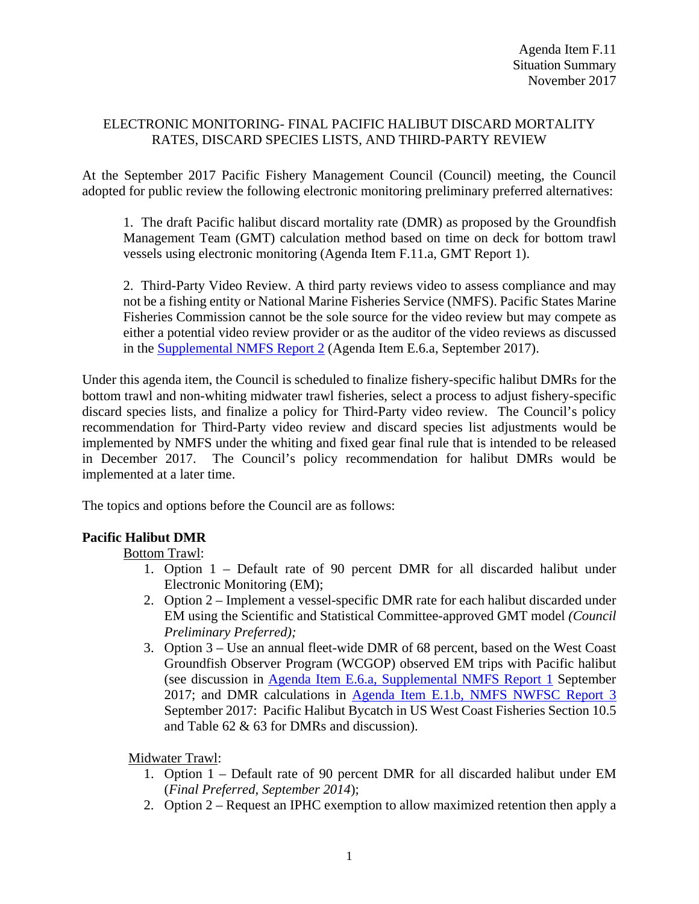#### ELECTRONIC MONITORING- FINAL PACIFIC HALIBUT DISCARD MORTALITY RATES, DISCARD SPECIES LISTS, AND THIRD-PARTY REVIEW

At the September 2017 Pacific Fishery Management Council (Council) meeting, the Council adopted for public review the following electronic monitoring preliminary preferred alternatives:

1. The draft Pacific halibut discard mortality rate (DMR) as proposed by the Groundfish Management Team (GMT) calculation method based on time on deck for bottom trawl vessels using electronic monitoring (Agenda Item F.11.a, GMT Report 1).

2. Third-Party Video Review. A third party reviews video to assess compliance and may not be a fishing entity or National Marine Fisheries Service (NMFS). Pacific States Marine Fisheries Commission cannot be the sole source for the video review but may compete as either a potential video review provider or as the auditor of the video reviews as discussed in the [Supplemental NMFS Report 2](http://www.pcouncil.org/wp-content/uploads/2017/09/E6a_Sup_NMFS_Rpt2_3rdPartyRvw_SEPT2017BB.pdf) (Agenda Item E.6.a, September 2017).

Under this agenda item, the Council is scheduled to finalize fishery-specific halibut DMRs for the bottom trawl and non-whiting midwater trawl fisheries, select a process to adjust fishery-specific discard species lists, and finalize a policy for Third-Party video review. The Council's policy recommendation for Third-Party video review and discard species list adjustments would be implemented by NMFS under the whiting and fixed gear final rule that is intended to be released in December 2017. The Council's policy recommendation for halibut DMRs would be implemented at a later time.

The topics and options before the Council are as follows:

# **Pacific Halibut DMR**

Bottom Trawl:

- 1. Option 1 Default rate of 90 percent DMR for all discarded halibut under Electronic Monitoring (EM);
- 2. Option 2 Implement a vessel-specific DMR rate for each halibut discarded under EM using the Scientific and Statistical Committee-approved GMT model *(Council Preliminary Preferred);*
- 3. Option 3 Use an annual fleet-wide DMR of 68 percent, based on the West Coast Groundfish Observer Program (WCGOP) observed EM trips with Pacific halibut (see discussion in [Agenda Item E.6.a, Supplemental NMFS Report 1](http://www.pcouncil.org/wp-content/uploads/2017/09/E6a_Sup_NMFS_Rpt1_SEPT2017BB.pdf) September 2017; and DMR calculations in Agenda [Item E.1.b, NMFS NWFSC Report 3](http://www.pcouncil.org/wp-content/uploads/2017/08/E1b_NMFS_NWFSC_Rpt_3_E-Only_Pacific_halibut_Bycatch_Rpt_2002_2016_SEPT2017BB.pdf) September 2017: Pacific Halibut Bycatch in US West Coast Fisheries Section 10.5 and Table 62 & 63 for DMRs and discussion).

Midwater Trawl:

- 1. Option 1 Default rate of 90 percent DMR for all discarded halibut under EM (*Final Preferred, September 2014*);
- 2. Option 2 Request an IPHC exemption to allow maximized retention then apply a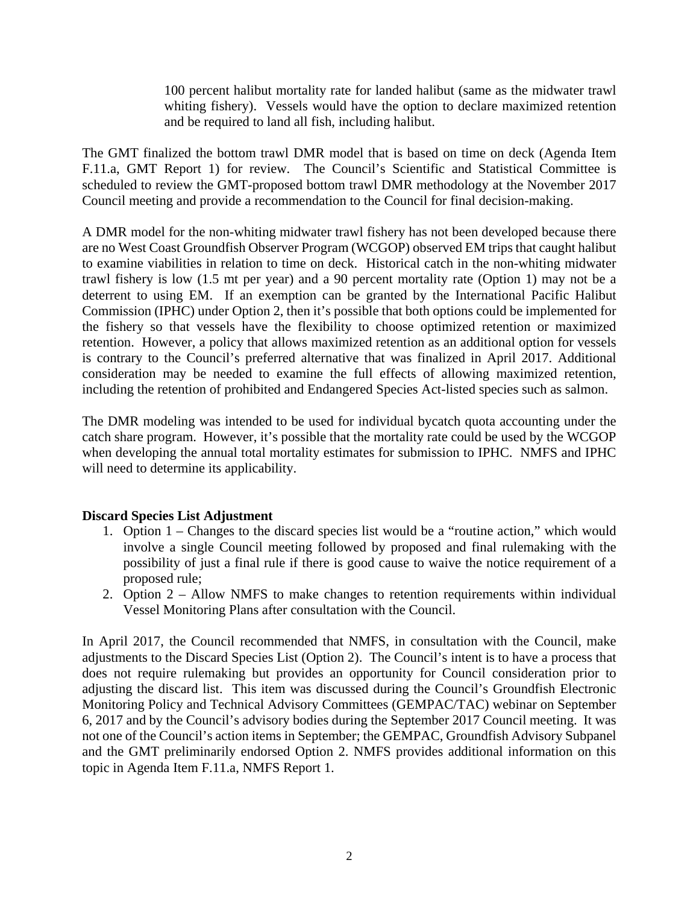100 percent halibut mortality rate for landed halibut (same as the midwater trawl whiting fishery). Vessels would have the option to declare maximized retention and be required to land all fish, including halibut.

The GMT finalized the bottom trawl DMR model that is based on time on deck (Agenda Item F.11.a, GMT Report 1) for review. The Council's Scientific and Statistical Committee is scheduled to review the GMT-proposed bottom trawl DMR methodology at the November 2017 Council meeting and provide a recommendation to the Council for final decision-making.

A DMR model for the non-whiting midwater trawl fishery has not been developed because there are no West Coast Groundfish Observer Program (WCGOP) observed EM trips that caught halibut to examine viabilities in relation to time on deck. Historical catch in the non-whiting midwater trawl fishery is low (1.5 mt per year) and a 90 percent mortality rate (Option 1) may not be a deterrent to using EM. If an exemption can be granted by the International Pacific Halibut Commission (IPHC) under Option 2, then it's possible that both options could be implemented for the fishery so that vessels have the flexibility to choose optimized retention or maximized retention. However, a policy that allows maximized retention as an additional option for vessels is contrary to the Council's preferred alternative that was finalized in April 2017. Additional consideration may be needed to examine the full effects of allowing maximized retention, including the retention of prohibited and Endangered Species Act-listed species such as salmon.

The DMR modeling was intended to be used for individual bycatch quota accounting under the catch share program. However, it's possible that the mortality rate could be used by the WCGOP when developing the annual total mortality estimates for submission to IPHC. NMFS and IPHC will need to determine its applicability.

# **Discard Species List Adjustment**

- 1. Option 1 Changes to the discard species list would be a "routine action," which would involve a single Council meeting followed by proposed and final rulemaking with the possibility of just a final rule if there is good cause to waive the notice requirement of a proposed rule;
- 2. Option 2 Allow NMFS to make changes to retention requirements within individual Vessel Monitoring Plans after consultation with the Council.

In April 2017, the Council recommended that NMFS, in consultation with the Council, make adjustments to the Discard Species List (Option 2). The Council's intent is to have a process that does not require rulemaking but provides an opportunity for Council consideration prior to adjusting the discard list. This item was discussed during the Council's Groundfish Electronic Monitoring Policy and Technical Advisory Committees (GEMPAC/TAC) webinar on September 6, 2017 and by the Council's advisory bodies during the September 2017 Council meeting. It was not one of the Council's action items in September; the GEMPAC, Groundfish Advisory Subpanel and the GMT preliminarily endorsed Option 2. NMFS provides additional information on this topic in Agenda Item F.11.a, NMFS Report 1.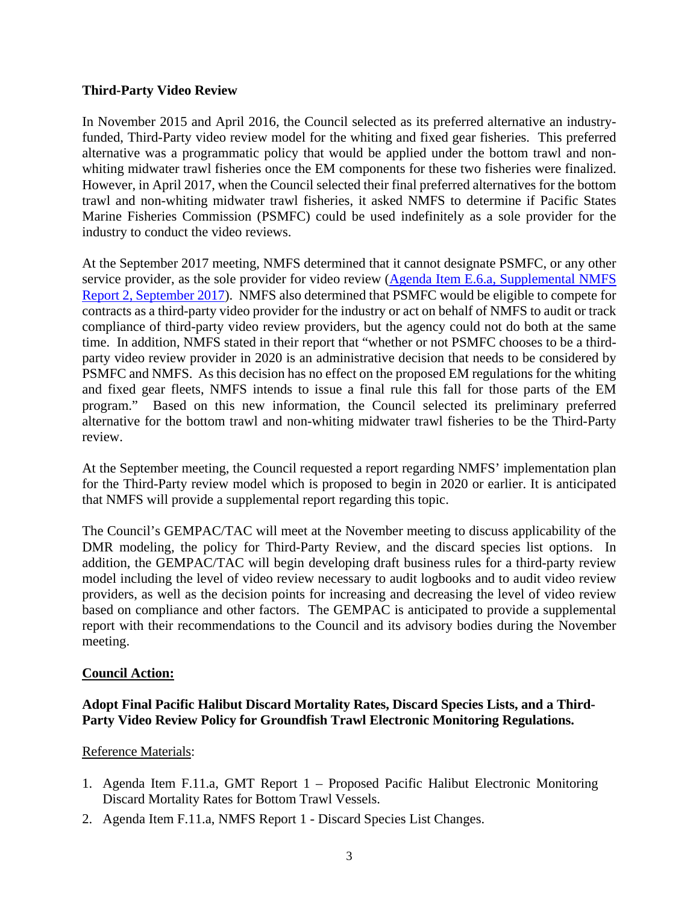#### **Third-Party Video Review**

In November 2015 and April 2016, the Council selected as its preferred alternative an industryfunded, Third-Party video review model for the whiting and fixed gear fisheries. This preferred alternative was a programmatic policy that would be applied under the bottom trawl and nonwhiting midwater trawl fisheries once the EM components for these two fisheries were finalized. However, in April 2017, when the Council selected their final preferred alternatives for the bottom trawl and non-whiting midwater trawl fisheries, it asked NMFS to determine if Pacific States Marine Fisheries Commission (PSMFC) could be used indefinitely as a sole provider for the industry to conduct the video reviews.

At the September 2017 meeting, NMFS determined that it cannot designate PSMFC, or any other service provider, as the sole provider for video review (Agenda Item E.6.a, Supplemental NMFS [Report 2,](http://www.pcouncil.org/wp-content/uploads/2017/09/E6a_Sup_NMFS_Rpt2_3rdPartyRvw_SEPT2017BB.pdf) September 2017). NMFS also determined that PSMFC would be eligible to compete for contracts as a third-party video provider for the industry or act on behalf of NMFS to audit or track compliance of third-party video review providers, but the agency could not do both at the same time. In addition, NMFS stated in their report that "whether or not PSMFC chooses to be a thirdparty video review provider in 2020 is an administrative decision that needs to be considered by PSMFC and NMFS. As this decision has no effect on the proposed EM regulations for the whiting and fixed gear fleets, NMFS intends to issue a final rule this fall for those parts of the EM program." Based on this new information, the Council selected its preliminary preferred alternative for the bottom trawl and non-whiting midwater trawl fisheries to be the Third-Party review.

At the September meeting, the Council requested a report regarding NMFS' implementation plan for the Third-Party review model which is proposed to begin in 2020 or earlier. It is anticipated that NMFS will provide a supplemental report regarding this topic.

The Council's GEMPAC/TAC will meet at the November meeting to discuss applicability of the DMR modeling, the policy for Third-Party Review, and the discard species list options. In addition, the GEMPAC/TAC will begin developing draft business rules for a third-party review model including the level of video review necessary to audit logbooks and to audit video review providers, as well as the decision points for increasing and decreasing the level of video review based on compliance and other factors. The GEMPAC is anticipated to provide a supplemental report with their recommendations to the Council and its advisory bodies during the November meeting.

# **Council Action:**

# **Adopt Final Pacific Halibut Discard Mortality Rates, Discard Species Lists, and a Third-Party Video Review Policy for Groundfish Trawl Electronic Monitoring Regulations.**

#### Reference Materials:

- 1. Agenda Item F.11.a, GMT Report 1 Proposed Pacific Halibut Electronic Monitoring Discard Mortality Rates for Bottom Trawl Vessels.
- 2. Agenda Item F.11.a, NMFS Report 1 Discard Species List Changes.